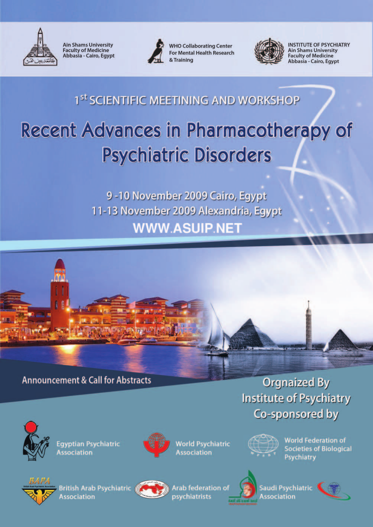

**Ain Shams University Faculty of Medicine** Abbasia - Cairo, Egypt



**WHO Collaborating Center** For Mental Health Research & Training



**INSTITUTE OF PSYCHIATRY Ain Shams University Faculty of Medicine** Abbasia - Cairo, Egypt

## 1st SCIENTIFIC MEETINING AND WORKSHOP

# Recent Advances in Pharmacotherapy of **Psychiatric Disorders**

9-10 November 2009 Cairo, Egypt 11-13 November 2009 Alexandria, Egypt **WWW.ASUIP.NET** 



## **Announcement & Call for Abstracts**

## **Orgnaized By Institute of Psychiatry** Co-sponsored by



**Egyptian Psychiatric ssociation** 



**World Psychiatric Association** 



**World Federation of Societies of Biological** Psychiatry



ritish Arab Psychiatric **Association** 



**Arab federation of** psychiatrists



Saudi Psychiatric ssociation

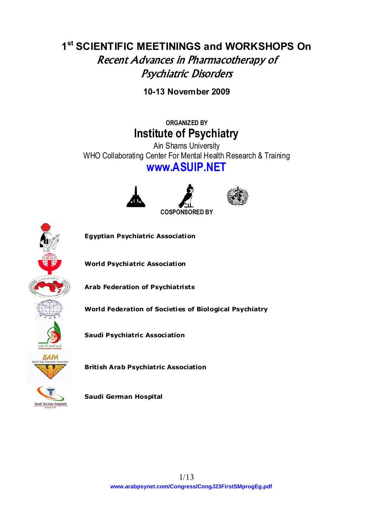## **1st SCIENTIFIC MEETININGS and WORKSHOPS On**  Recent Advances in Pharmacotherapy of Psychiatric Disorders

**10-13 November 2009** 

**ORGANIZED BY Institute of Psychiatry** 

Ain Shams University WHO Collaborating Center For Mental Health Research & Training **www.ASUIP.NET** 







**Egyptian Psychiatric Association** 

**World Psychiatric Association** 

**Arab Federation of Psychiatrists** 

**World Federation of Societies of Biological Psychiatry** 

**Saudi Psychiatric Association** 

**British Arab Psychiatric Association** 

**Saudi German Hospital**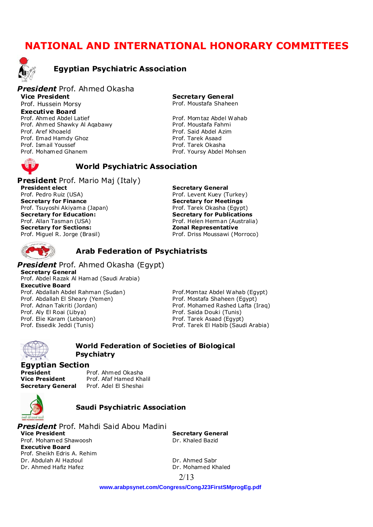## **NATIONAL AND INTERNATIONAL HONORARY COMMITTEES**



#### **Egyptian Psychiatric Association**

#### *President* Prof. Ahmed Okasha

**Vice President**  Prof. Hussein Morsy **Executive Board**  Prof. Ahmed Abdel Latief Prof. Mom taz Abdel Wahab Prof. Ahmed Shawky Al Agabawy **Prof. Moustafa Fahmi** Prof. Aref Khoaeld **Prof. Said Abdel Azim** Prof. Emad Hamdy Ghoz **Prof. Tarek Asaad** Prof. Ismail Youssef **Prof. Tarek Okasha** Prof. Mohamed Ghanem et al. (2008) Prof. Yoursy Abdel Mohsen

**Secretary General** Prof. Moustafa Shaheen

#### **World Psychiatric Association**

**President** Prof. Mario Maj (Italy) **President elect**  Prof. Pedro Ruiz (USA) **Secretary for Finance**  Prof. Tsuyoshi Akiyama (Japan) **Secretary for Education:**  Prof. Allan Tasman (USA) **Secretary for Sections:**  Prof. Miguel R. Jorge (Brasil)

**Secretary General**  Prof. Levent Kuey (Turkey) **Secretary for Meetings**  Prof. Tarek Okasha (Egypt) **Secretary for Publications**  Prof. Helen Herman (Australia) **Zonal Representative**  Prof. Driss Moussawi (Morroco)

#### **Arab Federation of Psychiatrists**

*President* Prof. Ahmed Okasha (Egypt) **Secretary General** Prof. Abdel Razak Al Hamad (Saudi Arabia) **Executive Board**  Prof. Abdallah Abdel Rahman (Sudan) Prof.Mom taz Abdel Wahab (Egypt)<br>Prof. Abdallah El Sheary (Yemen) Prof. Mostafa Shaheen (Egypt) Prof. Abdallah El Sheary (Yemen) Prof. Adnan Takriti (Jordan) Prof. Mohamed Rashed Lafta (Iraq) Prof. Aly El Roai (Libya) Prof. Saida Douki (Tunis) Prof. Elie Karam (Lebanon) Prof. Tarek Asaad (Egypt) Prof. Essedik Jeddi (Tunis) Prof. Tarek El Habib (Saudi Arabia)



#### **World Federation of Societies of Biological Psychiatry**

## **Egyptian Section**

Prof. Ahmed Okasha **Vice President** Prof. Afaf Hamed Khalil **Secretary General** Prof. Adel El Sheshai



#### **Saudi Psychiatric Association**

*President* Prof. Mahdi Said Abou Madini **Vice President**  Prof. Mohamed Shawoosh **Executive Board**  Prof. Sheikh Edris A. Rehim Dr. Abdulah Al Hazloul Dr. Ahmed Sabr Dr. Ahmed Hafiz Hafez Dr. Mohamed Khaled

**Secretary General**  Dr. Khaled Bazid

2/13

**[www.arabpsynet.com/Congress/CongJ23FirstSMprogEg.pdf](www.arabpsynet.com/Congress/CongJ23FirstSMprogEg.pdf )**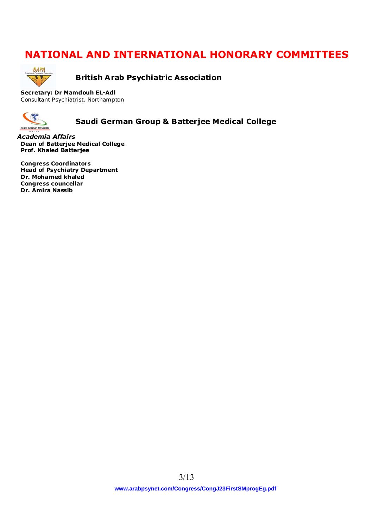## **NATIONAL AND INTERNATIONAL HONORARY COMMITTEES**



**British Arab Psychiatric Association** 

**Secretary: Dr Mamdouh EL-Adl**  Consultant Psychiatrist, Northampton



**Saudi German Group & Batterjee Medical College** 

*Academia Affairs* **Dean of Batterjee Medical College Prof. Khaled Batterjee** 

**Congress Coordinators Head of Psychiatry Department Dr. Mohamed khaled Congress councellar Dr. Amira Nassib**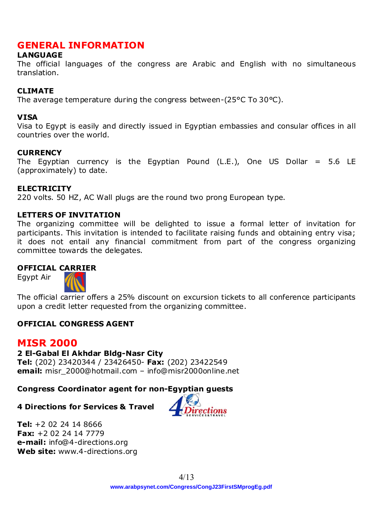## **GENERAL INFORMATION**

## **LANGUAGE**

The official languages of the congress are Arabic and English with no simultaneous translation.

## **CLIMATE**

The average temperature during the congress between-(25°C To 30°C).

### **VISA**

Visa to Egypt is easily and directly issued in Egyptian embassies and consular offices in all countries over the world.

### **CURRENCY**

The Egyptian currency is the Egyptian Pound (L.E.), One US Dollar =  $5.6$  LE (approximately) to date.

### **ELECTRICITY**

220 volts. 50 HZ, AC Wall plugs are the round two prong European type.

### **LETTERS OF INVITATION**

The organizing committee will be delighted to issue a formal letter of invitation for participants. This invitation is intended to facilitate raising funds and obtaining entry visa; it does not entail any financial commitment from part of the congress organizing committee towards the delegates.

## **OFFICIAL CARRIER**

Egypt Air



The official carrier offers a 25% discount on excursion tickets to all conference participants upon a credit letter requested from the organizing committee.

## **OFFICIAL CONGRESS AGENT**

## **MISR 2000**

## **2 El-Gabal El Akhdar Bldg-Nasr City**

**Tel:** (202) 23420344 / 23426450- **Fax:** (202) 23422549 **email:** misr\_2000@hotmail.com – info@misr2000online.net

## **Congress Coordinator agent for non-Egyptian guests**

## **4 Directions for Services & Travel**



**Tel:** +2 02 24 14 8666 **Fax:** +2 02 24 14 7779 **e-mail:** info@4-directions.org **Web site:** www.4-directions.org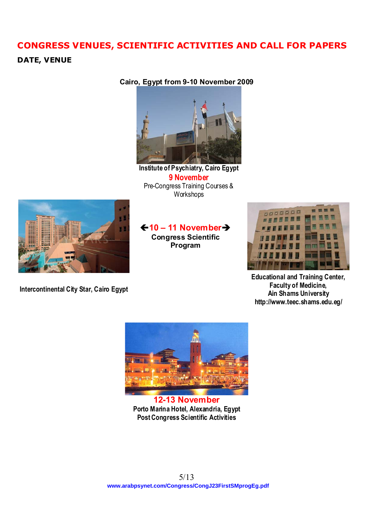## **CONGRESS VENUES, SCIENTIFIC ACTIVITIES AND CALL FOR PAPERS**

## **DATE, VENUE**

**Cairo, Egypt from 9-10 November 2009**



**Institute of Psychiatry, Cairo Egypt 9 November** Pre-Congress Training Courses & **Workshops** 



**Intercontinental City Star, Cairo Egypt** 

Í**10 – 11 November**Î **Congress Scientific Program** 



**Educational and Training Center, Faculty of Medicine, Ain Shams University http://www.teec.shams.edu.eg/**



**12-13 November Porto Marina Hotel, Alexandria, Egypt Post Congress Scientific Activities**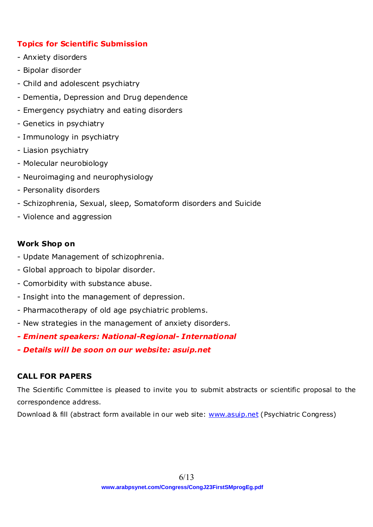## **Topics for Scientific Submission**

- Anxiety disorders
- Bipolar disorder
- Child and adolescent psychiatry
- Dementia, Depression and Drug dependence
- Emergency psychiatry and eating disorders
- Genetics in psychiatry
- Immunology in psychiatry
- Liasion psychiatry
- Molecular neurobiology
- Neuroimaging and neurophysiology
- Personality disorders
- Schizophrenia, Sexual, sleep, Somatoform disorders and Suicide
- Violence and aggression

## **Work Shop on**

- Update Management of schizophrenia.
- Global approach to bipolar disorder.
- Comorbidity with substance abuse.
- Insight into the management of depression.
- Pharmacotherapy of old age psychiatric problems.
- New strategies in the management of anxiety disorders.
- *Eminent speakers: National-Regional- International*
- *Details will be soon on our website: asuip.net*

## **CALL FOR PAPERS**

The Scientific Committee is pleased to invite you to submit abstracts or scientific proposal to the correspondence address.

Download & fill (abstract form available in our web site: www.asuip.net (Psychiatric Congress)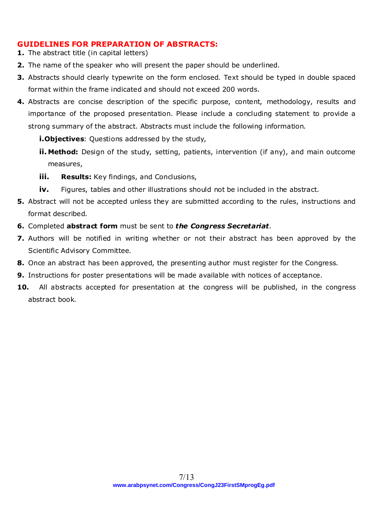### **GUIDELINES FOR PREPARATION OF ABSTRACTS:**

- **1.** The abstract title (in capital letters)
- **2.** The name of the speaker who will present the paper should be underlined.
- **3.** Abstracts should clearly typewrite on the form enclosed. Text should be typed in double spaced format within the frame indicated and should not exceed 200 words.
- **4.** Abstracts are concise description of the specific purpose, content, methodology, results and importance of the proposed presentation. Please include a concluding statement to provide a strong summary of the abstract. Abstracts must include the following information.
	- **i.Objectives**: Questions addressed by the study,
	- **ii. Method:** Design of the study, setting, patients, intervention (if any), and main outcome measures,
	- **iii. Results:** Key findings, and Conclusions,
	- **iv.** Figures, tables and other illustrations should not be included in the abstract.
- **5.** Abstract will not be accepted unless they are submitted according to the rules, instructions and format described.
- **6.** Completed **abstract form** must be sent to *the Congress Secretariat*.
- **7.** Authors will be notified in writing whether or not their abstract has been approved by the Scientific Advisory Committee.
- **8.** Once an abstract has been approved, the presenting author must register for the Congress.
- **9.** Instructions for poster presentations will be made available with notices of acceptance.
- **10.** All abstracts accepted for presentation at the congress will be published, in the congress abstract book.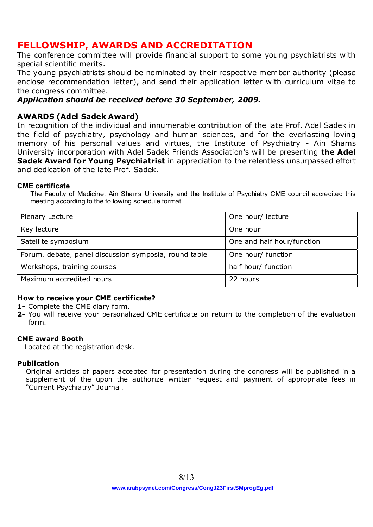## **FELLOWSHIP, AWARDS AND ACCREDITATION**

The conference committee will provide financial support to some young psychiatrists with special scientific merits.

The young psychiatrists should be nominated by their respective member authority (please enclose recommendation letter), and send their application letter with curriculum vitae to the congress committee.

## *Application should be received before 30 September, 2009.*

## **AWARDS (Adel Sadek Award)**

In recognition of the individual and innumerable contribution of the late Prof. Adel Sadek in the field of psychiatry, psychology and human sciences, and for the everlasting loving memory of his personal values and virtues, the Institute of Psychiatry - Ain Shams University incorporation with Adel Sadek Friends Association's will be presenting **the Adel Sadek Award for Young Psychiatrist** in appreciation to the relentless unsurpassed effort and dedication of the late Prof. Sadek.

#### **CME certificate**

The Faculty of Medicine, Ain Shams University and the Institute of Psychiatry CME council accredited this meeting according to the following schedule format

| Plenary Lecture                                       | One hour/ lecture          |
|-------------------------------------------------------|----------------------------|
| Key lecture                                           | One hour                   |
| Satellite symposium                                   | One and half hour/function |
| Forum, debate, panel discussion symposia, round table | One hour/ function         |
| Workshops, training courses                           | half hour/ function        |
| Maximum accredited hours                              | 22 hours                   |

### **How to receive your CME certificate?**

**1-** Complete the CME diary form.

**2-** You will receive your personalized CME certificate on return to the completion of the evaluation form.

#### **CME award Booth**

Located at the registration desk.

### **Publication**

Original articles of papers accepted for presentation during the congress will be published in a supplement of the upon the authorize written request and payment of appropriate fees in "Current Psychiatry" Journal.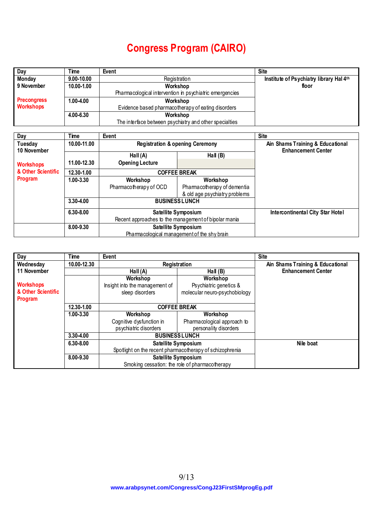## **Congress Program (CAIRO)**

| Day                | Time          | Event                                                   | <b>Site</b>                             |
|--------------------|---------------|---------------------------------------------------------|-----------------------------------------|
| Monday             | 9.00-10.00    | Registration                                            | Institute of Psychiatry library Hal 4th |
| 9 November         | 10.00-1.00    | Workshop                                                | floor                                   |
|                    |               | Pharmacological intervention in psychiatric emergencies |                                         |
| <b>Precongress</b> | $1.00 - 4.00$ | Workshop                                                |                                         |
| Workshops          |               | Evidence based pharmacotherapy of eating disorders      |                                         |
|                    | 4.00-6.30     | Workshop                                                |                                         |
|                    |               | The interface between psychiatry and other specialties  |                                         |

| Day                             | Time        | Event                                                |                                                              | <b>Site</b>                             |
|---------------------------------|-------------|------------------------------------------------------|--------------------------------------------------------------|-----------------------------------------|
| Tuesday                         | 10.00-11.00 | <b>Registration &amp; opening Ceremony</b>           |                                                              | Ain Shams Training & Educational        |
| 10 November<br><b>Workshops</b> | 11.00-12.30 | Hall $(A)$<br><b>Opening Lecture</b>                 | Hall $(B)$                                                   | <b>Enhancement Center</b>               |
| & Other Scientific              | 12.30-1.00  |                                                      | <b>COFFEE BREAK</b>                                          |                                         |
| Program                         | 1.00-3.30   | Workshop<br>Workshop                                 |                                                              |                                         |
|                                 |             | Pharmacotherapy of OCD                               | Pharmacotherapy of dementia<br>& old age psychiatry problems |                                         |
|                                 | 3.30-4.00   |                                                      | <b>BUSINESS LUNCH</b>                                        |                                         |
|                                 | 6.30-8.00   |                                                      | Satellite Symposium                                          | <b>Intercontinental City Star Hotel</b> |
|                                 |             | Recent approaches to the management of bipolar mania |                                                              |                                         |
|                                 | 8.00-9.30   | Satellite Symposium                                  |                                                              |                                         |
|                                 |             | Pharmacological management of the shy brain          |                                                              |                                         |

| Day                | Time        | Event                                                    |                               | <b>Site</b>                      |
|--------------------|-------------|----------------------------------------------------------|-------------------------------|----------------------------------|
| Wednesday          | 10.00-12.30 | Registration                                             |                               | Ain Shams Training & Educational |
| 11 November        |             | Hall $(A)$                                               | Hall $(B)$                    | <b>Enhancement Center</b>        |
|                    |             | Workshop                                                 | Workshop                      |                                  |
| <b>Workshops</b>   |             | Insight into the management of                           | Psychiatric genetics &        |                                  |
| & Other Scientific |             | sleep disorders                                          | molecular neuro-psychobiology |                                  |
| Program            |             |                                                          |                               |                                  |
|                    | 12.30-1.00  | <b>COFFEE BREAK</b>                                      |                               |                                  |
|                    | 1.00-3.30   | Workshop<br>Workshop                                     |                               |                                  |
|                    |             | Cognitive dysfunction in                                 | Pharmacological approach to   |                                  |
|                    |             | psychiatric disorders                                    | personality disorders         |                                  |
|                    | 3.30-4.00   | <b>BUSINESS LUNCH</b>                                    |                               |                                  |
|                    | 6.30-8.00   | Satellite Symposium                                      |                               | Nile boat                        |
|                    |             | Spotlight on the recent pharmacotherapy of schizophrenia |                               |                                  |
|                    | 8.00-9.30   | Satellite Symposium                                      |                               |                                  |
|                    |             | Smoking cessation: the role of pharmacotherapy           |                               |                                  |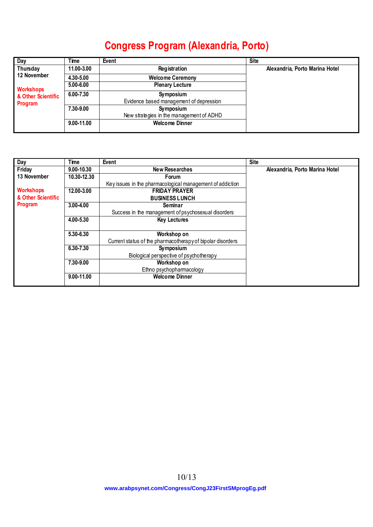## **Congress Program (Alexandria, Porto)**

| <b>Day</b>         | Time       | Event                                    | <b>Site</b>                    |
|--------------------|------------|------------------------------------------|--------------------------------|
| Thursday           | 11.00-3.00 | Registration                             | Alexandria, Porto Marina Hotel |
| 12 November        | 4.30-5.00  | <b>Welcome Ceremony</b>                  |                                |
| <b>Workshops</b>   | 5.00-6.00  | <b>Plenary Lecture</b>                   |                                |
| & Other Scientific | 6.00-7.30  | Symposium                                |                                |
| <b>Program</b>     |            | Evidence based management of depression  |                                |
|                    | 7.30-9.00  | Symposium                                |                                |
|                    |            | New strategies in the management of ADHD |                                |
|                    | 9.00-11.00 | <b>Welcome Dinner</b>                    |                                |
|                    |            |                                          |                                |

| Day                | Time        | Event                                                      | <b>Site</b>                    |
|--------------------|-------------|------------------------------------------------------------|--------------------------------|
| Friday             | 9.00-10.30  | <b>New Researches</b>                                      | Alexandria, Porto Marina Hotel |
| 13 November        | 10.30-12.30 | Forum                                                      |                                |
|                    |             | Key issues in the pharmacological management of addiction  |                                |
| <b>Workshops</b>   | 12.00-3.00  | <b>FRIDAY PRAYER</b>                                       |                                |
| & Other Scientific |             | <b>BUSINESS LUNCH</b>                                      |                                |
| <b>Program</b>     | 3.00-4.00   | Seminar                                                    |                                |
|                    |             | Success in the management of psychosexual disorders        |                                |
|                    | 4.00-5.30   | <b>Key Lectures</b>                                        |                                |
|                    |             |                                                            |                                |
|                    | 5.30-6.30   | Workshop on                                                |                                |
|                    |             | Current status of the pharmacotherapy of bipolar disorders |                                |
|                    | 6.30-7.30   | Symposium                                                  |                                |
|                    |             | Biological perspective of psychotherapy                    |                                |
|                    | 7.30-9.00   | Workshop on                                                |                                |
|                    |             | Ethno psychopharmacology                                   |                                |
|                    | 9.00-11.00  | <b>Welcome Dinner</b>                                      |                                |
|                    |             |                                                            |                                |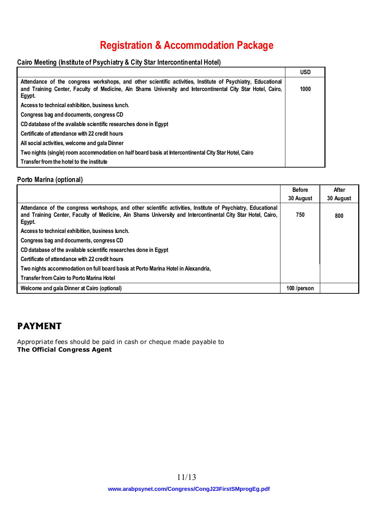## **Registration & Accommodation Package**

### **Cairo Meeting (Institute of Psychiatry & City Star Intercontinental Hotel)**

|                                                                                                                                                                                                                                      | <b>USD</b> |
|--------------------------------------------------------------------------------------------------------------------------------------------------------------------------------------------------------------------------------------|------------|
| Attendance of the congress workshops, and other scientific activities, Institute of Psychiatry, Educational<br>and Training Center, Faculty of Medicine, Ain Shams University and Intercontinental City Star Hotel, Cairo,<br>Egypt. | 1000       |
| Access to technical exhibition, business lunch.                                                                                                                                                                                      |            |
| Congress bag and documents, congress CD                                                                                                                                                                                              |            |
| CD database of the available scientific researches done in Egypt                                                                                                                                                                     |            |
| Certificate of attendance with 22 credit hours                                                                                                                                                                                       |            |
| All social activities, welcome and gala Dinner                                                                                                                                                                                       |            |
| Two nights (single) room accommodation on half board basis at Intercontinental City Star Hotel, Cairo                                                                                                                                |            |
| Transfer from the hotel to the institute                                                                                                                                                                                             |            |

#### **Porto Marina (optional)**

|                                                                                                                       | <b>Before</b><br>30 August | After<br>30 August |
|-----------------------------------------------------------------------------------------------------------------------|----------------------------|--------------------|
| Attendance of the congress workshops, and other scientific activities, Institute of Psychiatry, Educational           |                            |                    |
| and Training Center, Faculty of Medicine, Ain Shams University and Intercontinental City Star Hotel, Cairo,<br>Egypt. | 750                        | 800                |
| Access to technical exhibition, business lunch.                                                                       |                            |                    |
| Congress bag and documents, congress CD                                                                               |                            |                    |
| CD database of the available scientific researches done in Egypt                                                      |                            |                    |
| Certificate of attendance with 22 credit hours                                                                        |                            |                    |
| Two nights accommodation on full board basis at Porto Marina Hotel in Alexandria,                                     |                            |                    |
| <b>Transfer from Cairo to Porto Marina Hotel</b>                                                                      |                            |                    |
| Welcome and gala Dinner at Cairo (optional)                                                                           | 100 /person                |                    |

## **PAYMENT**

Appropriate fees should be paid in cash or cheque made payable to **The Official Congress Agent**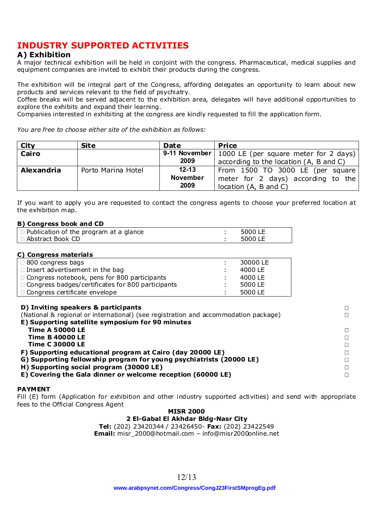## **INDUSTRY SUPPORTED ACTIVITIES**

### **A) Exhibition**

A major technical exhibition will be held in conjoint with the congress. Pharmaceutical, medical supplies and equipment companies are invited to exhibit their products during the congress.

The exhibition will be integral part of the Congress, affording delegates an opportunity to learn about new products and services relevant to the field of psychiatry.

Coffee breaks will be served adjacent to the exhibition area, delegates will have additional opportunities to explore the exhibits and expand their learning.

Companies interested in exhibiting at the congress are kindly requested to fill the application form.

*You are free to choose either site of the exhibition as follows:* 

| City       | <b>Site</b>        | <b>Date</b>     | <b>Price</b>                                          |
|------------|--------------------|-----------------|-------------------------------------------------------|
| Cairo      |                    |                 | 9-11 November   1000 LE (per square meter for 2 days) |
|            |                    | 2009            | according to the location (A, B and C)                |
| Alexandria | Porto Marina Hotel | $12 - 13$       | From 1500 TO 3000 LE (per square                      |
|            |                    | <b>November</b> | meter for 2 days) according to the                    |
|            |                    | 2009            | location (A, B and C)                                 |

If you want to apply you are requested to contact the congress agents to choose your preferred location at the exhibition map.

#### **B) Congress book and CD**

| $\vert$ $\Box$ Publication of the program at a glance | 5000 LE |
|-------------------------------------------------------|---------|
| ∣ □ Abstract Book CD                                  | 5000 LE |

#### **C) Congress materials**

| $\Box$ 800 congress bags                                 | 30000 LE |
|----------------------------------------------------------|----------|
| $\Box$ Insert advertisement in the bag                   | 4000 LE  |
| $\Box$ Congress notebook, pens for 800 participants      | 4000 LE  |
| $\Box$ Congress badges/certificates for 800 participants | 5000 LE  |
| $\Box$ Congress certificate envelope                     | 5000 LE  |

#### **D) Inviting speakers & participants**

| (National & regional or international) (see registration and accommodation package) |  |
|-------------------------------------------------------------------------------------|--|
| E) Supporting satellite symposium for 90 minutes                                    |  |
| <b>Time A 50000 LE</b>                                                              |  |
| <b>Time B 40000 LE</b>                                                              |  |
| <b>Time C 30000 LE</b>                                                              |  |
| F) Supporting educational program at Cairo (day 20000 LE)                           |  |
| G) Supporting fellowship program for young psychiatrists (20000 LE)                 |  |
| H) Supporting social program (30000 LE)                                             |  |
| E) Covering the Gala dinner or welcome reception (60000 LE)                         |  |
|                                                                                     |  |

#### **PAYMENT**

Fill (E) form (Application for exhibition and other industry supported activities) and send with appropriate fees to the Official Congress Agent

## **MISR 2000**

**2 El-Gabal El Akhdar Bldg-Nasr City** 

**Tel:** (202) 23420344 / 23426450- **Fax:** (202) 23422549 **Email:** misr\_2000@hotmail.com – info@misr2000online.net

**[www.arabpsynet.com/Congress/CongJ23FirstSMprogEg.pdf](www.arabpsynet.com/Congress/CongJ23FirstSMprogEg.pdf )**